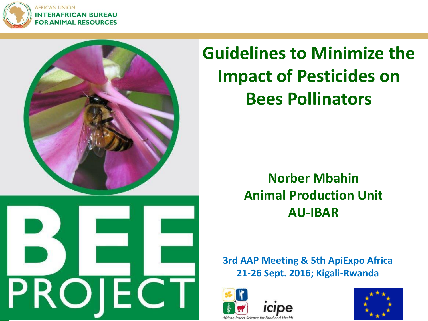

**AFRICAN UNION INTERAFRICAN BUREAU FOR ANIMAL RESOURCES** 



**Guidelines to Minimize the Impact of Pesticides on Bees Pollinators**

> **Norber Mbahin Animal Production Unit AU-IBAR**

**3rd AAP Meeting & 5th ApiExpo Africa 21-26 Sept. 2016; Kigali-Rwanda**



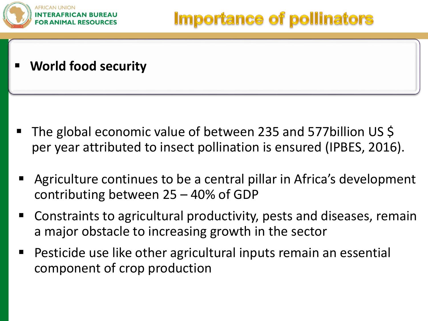

**World food security**

- The global economic value of between 235 and 577billion US \$ per year attributed to insect pollination is ensured (IPBES, 2016).
- Agriculture continues to be a central pillar in Africa's development contributing between 25 – 40% of GDP
- Constraints to agricultural productivity, pests and diseases, remain a major obstacle to increasing growth in the sector
- Pesticide use like other agricultural inputs remain an essential component of crop production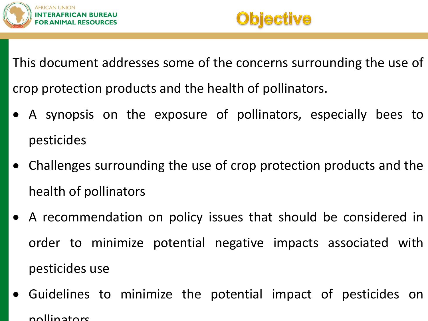



This document addresses some of the concerns surrounding the use of crop protection products and the health of pollinators.

- A synopsis on the exposure of pollinators, especially bees to pesticides
- Challenges surrounding the use of crop protection products and the health of pollinators
- A recommendation on policy issues that should be considered in order to minimize potential negative impacts associated with pesticides use
- Guidelines to minimize the potential impact of pesticides on pollinators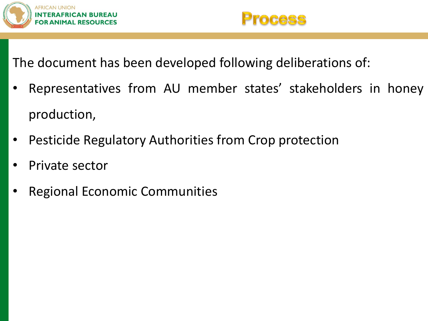



The document has been developed following deliberations of:

- Representatives from AU member states' stakeholders in honey production,
- Pesticide Regulatory Authorities from Crop protection
- Private sector
- Regional Economic Communities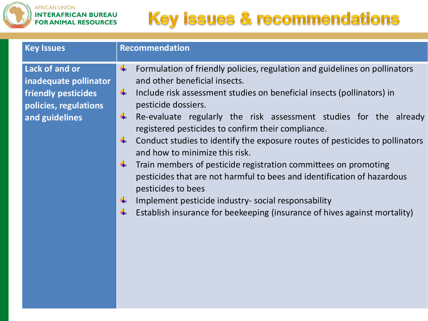

| <b>Key Issues</b>                                                                                         | <b>Recommendation</b>                                                                                                                                                                                                                                                                                                                                                                                                                                                                                                                                                                                                                                                                                                                                                                                |
|-----------------------------------------------------------------------------------------------------------|------------------------------------------------------------------------------------------------------------------------------------------------------------------------------------------------------------------------------------------------------------------------------------------------------------------------------------------------------------------------------------------------------------------------------------------------------------------------------------------------------------------------------------------------------------------------------------------------------------------------------------------------------------------------------------------------------------------------------------------------------------------------------------------------------|
| Lack of and or<br>inadequate pollinator<br>friendly pesticides<br>policies, regulations<br>and guidelines | Formulation of friendly policies, regulation and guidelines on pollinators<br>÷<br>and other beneficial insects.<br>÷<br>Include risk assessment studies on beneficial insects (pollinators) in<br>pesticide dossiers.<br>÷<br>Re-evaluate regularly the risk assessment studies for the already<br>registered pesticides to confirm their compliance.<br>Conduct studies to identify the exposure routes of pesticides to pollinators<br>÷<br>and how to minimize this risk.<br>÷<br>Train members of pesticide registration committees on promoting<br>pesticides that are not harmful to bees and identification of hazardous<br>pesticides to bees<br>Implement pesticide industry- social responsability<br>÷<br>Establish insurance for beekeeping (insurance of hives against mortality)<br>÷ |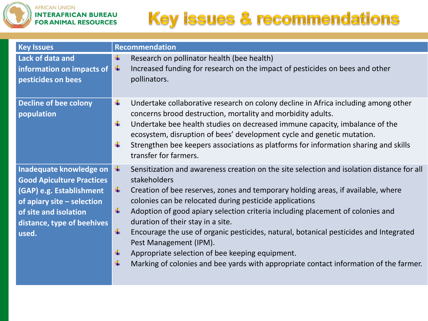

| <b>Key Issues</b>                                                                                                                                                                     | <b>Recommendation</b>                                                                                                                                                                                                                                                                                                                                                                                                                                                                                                                                                                                                                                                        |
|---------------------------------------------------------------------------------------------------------------------------------------------------------------------------------------|------------------------------------------------------------------------------------------------------------------------------------------------------------------------------------------------------------------------------------------------------------------------------------------------------------------------------------------------------------------------------------------------------------------------------------------------------------------------------------------------------------------------------------------------------------------------------------------------------------------------------------------------------------------------------|
| Lack of data and<br>information on impacts of<br>pesticides on bees                                                                                                                   | Research on pollinator health (bee health)<br>÷<br>Increased funding for research on the impact of pesticides on bees and other<br>÷<br>pollinators.                                                                                                                                                                                                                                                                                                                                                                                                                                                                                                                         |
| <b>Decline of bee colony</b><br>population                                                                                                                                            | Undertake collaborative research on colony decline in Africa including among other<br>÷<br>concerns brood destruction, mortality and morbidity adults.<br>÷<br>Undertake bee health studies on decreased immune capacity, imbalance of the<br>ecosystem, disruption of bees' development cycle and genetic mutation.<br>Strengthen bee keepers associations as platforms for information sharing and skills<br>÷<br>transfer for farmers.                                                                                                                                                                                                                                    |
| Inadequate knowledge on<br><b>Good Apiculture Practices</b><br>(GAP) e.g. Establishment<br>of apiary site - selection<br>of site and isolation<br>distance, type of beehives<br>used. | Sensitization and awareness creation on the site selection and isolation distance for all<br>÷<br>stakeholders<br>÷<br>Creation of bee reserves, zones and temporary holding areas, if available, where<br>colonies can be relocated during pesticide applications<br>÷<br>Adoption of good apiary selection criteria including placement of colonies and<br>duration of their stay in a site.<br>÷<br>Encourage the use of organic pesticides, natural, botanical pesticides and Integrated<br>Pest Management (IPM).<br>Appropriate selection of bee keeping equipment.<br>÷<br>Marking of colonies and bee yards with appropriate contact information of the farmer.<br>÷ |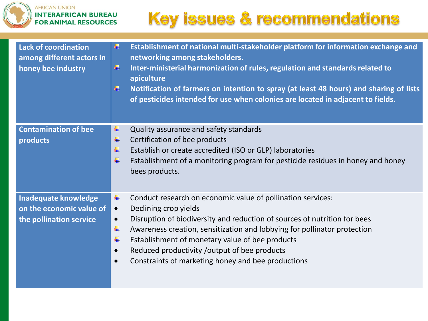

| <b>Lack of coordination</b><br>among different actors in<br>honey bee industry     | Establishment of national multi-stakeholder platform for information exchange and<br>Щ<br>networking among stakeholders.<br>4<br>Inter-ministerial harmonization of rules, regulation and standards related to<br>apiculture<br>÷<br>Notification of farmers on intention to spray (at least 48 hours) and sharing of lists<br>of pesticides intended for use when colonies are located in adjacent to fields.                                                             |
|------------------------------------------------------------------------------------|----------------------------------------------------------------------------------------------------------------------------------------------------------------------------------------------------------------------------------------------------------------------------------------------------------------------------------------------------------------------------------------------------------------------------------------------------------------------------|
| <b>Contamination of bee</b><br>products                                            | ÷<br>Quality assurance and safety standards<br>٠<br>Certification of bee products<br>÷<br>Establish or create accredited (ISO or GLP) laboratories<br>÷<br>Establishment of a monitoring program for pesticide residues in honey and honey<br>bees products.                                                                                                                                                                                                               |
| <b>Inadequate knowledge</b><br>on the economic value of<br>the pollination service | Conduct research on economic value of pollination services:<br>÷<br>Declining crop yields<br>$\bullet$<br>Disruption of biodiversity and reduction of sources of nutrition for bees<br>$\bullet$<br>4<br>Awareness creation, sensitization and lobbying for pollinator protection<br>₩<br>Establishment of monetary value of bee products<br>Reduced productivity / output of bee products<br>$\bullet$<br>Constraints of marketing honey and bee productions<br>$\bullet$ |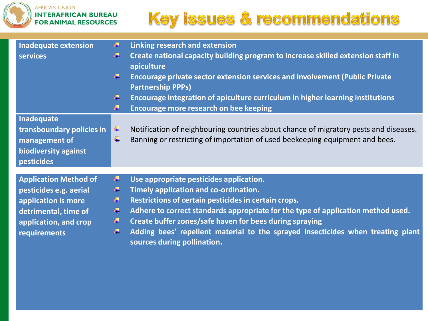

| <b>Inadequate extension</b><br>services                                                                                                        | ÷.<br><b>Linking research and extension</b><br>4<br>Create national capacity building program to increase skilled extension staff in<br>apiculture<br>4<br>Encourage private sector extension services and involvement (Public Private<br><b>Partnership PPPs)</b>                                                                                                                                                                          |
|------------------------------------------------------------------------------------------------------------------------------------------------|---------------------------------------------------------------------------------------------------------------------------------------------------------------------------------------------------------------------------------------------------------------------------------------------------------------------------------------------------------------------------------------------------------------------------------------------|
|                                                                                                                                                | 4<br>Encourage integration of apiculture curriculum in higher learning institutions<br>4<br><b>Encourage more research on bee keeping</b>                                                                                                                                                                                                                                                                                                   |
| Inadequate<br>transboundary policies in<br>management of<br>biodiversity against<br>pesticides                                                 | ÷<br>Notification of neighbouring countries about chance of migratory pests and diseases.<br>÷<br>Banning or restricting of importation of used beekeeping equipment and bees.                                                                                                                                                                                                                                                              |
| <b>Application Method of</b><br>pesticides e.g. aerial<br>application is more<br>detrimental, time of<br>application, and crop<br>requirements | ÷<br>Use appropriate pesticides application.<br>÷.<br>Timely application and co-ordination.<br>÷.<br>Restrictions of certain pesticides in certain crops.<br>d.<br>Adhere to correct standards appropriate for the type of application method used.<br>÷.<br>Create buffer zones/safe haven for bees during spraying<br>4<br>Adding bees' repellent material to the sprayed insecticides when treating plant<br>sources during pollination. |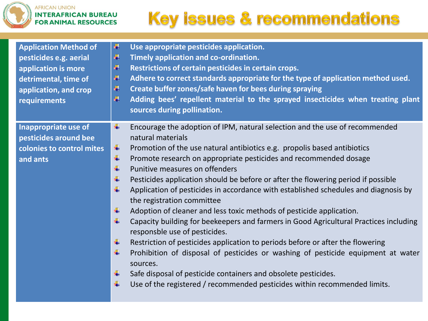

| <b>Application Method of</b><br>pesticides e.g. aerial<br>application is more<br>detrimental, time of<br>application, and crop<br>requirements | 4<br>Use appropriate pesticides application.<br>4<br>Timely application and co-ordination.<br>4<br>Restrictions of certain pesticides in certain crops.<br>₩<br>Adhere to correct standards appropriate for the type of application method used.<br>Create buffer zones/safe haven for bees during spraying<br>41<br>4<br>Adding bees' repellent material to the sprayed insecticides when treating plant<br>sources during pollination. |
|------------------------------------------------------------------------------------------------------------------------------------------------|------------------------------------------------------------------------------------------------------------------------------------------------------------------------------------------------------------------------------------------------------------------------------------------------------------------------------------------------------------------------------------------------------------------------------------------|
| Inappropriate use of                                                                                                                           | Encourage the adoption of IPM, natural selection and the use of recommended<br>4                                                                                                                                                                                                                                                                                                                                                         |
| pesticides around bee                                                                                                                          | natural materials                                                                                                                                                                                                                                                                                                                                                                                                                        |
| colonies to control mites                                                                                                                      | ÷<br>Promotion of the use natural antibiotics e.g. propolis based antibiotics                                                                                                                                                                                                                                                                                                                                                            |
| and ants                                                                                                                                       | ÷<br>Promote research on appropriate pesticides and recommended dosage                                                                                                                                                                                                                                                                                                                                                                   |
|                                                                                                                                                | 4<br>Punitive measures on offenders                                                                                                                                                                                                                                                                                                                                                                                                      |
|                                                                                                                                                | ÷<br>Pesticides application should be before or after the flowering period if possible                                                                                                                                                                                                                                                                                                                                                   |
|                                                                                                                                                | ÷<br>Application of pesticides in accordance with established schedules and diagnosis by<br>the registration committee                                                                                                                                                                                                                                                                                                                   |
|                                                                                                                                                | ÷<br>Adoption of cleaner and less toxic methods of pesticide application.                                                                                                                                                                                                                                                                                                                                                                |
|                                                                                                                                                | 4<br>Capacity building for beekeepers and farmers in Good Agricultural Practices including<br>responsble use of pesticides.                                                                                                                                                                                                                                                                                                              |
|                                                                                                                                                | ÷<br>Restriction of pesticides application to periods before or after the flowering                                                                                                                                                                                                                                                                                                                                                      |
|                                                                                                                                                | 4<br>Prohibition of disposal of pesticides or washing of pesticide equipment at water<br>sources.                                                                                                                                                                                                                                                                                                                                        |
|                                                                                                                                                | Safe disposal of pesticide containers and obsolete pesticides.<br>÷                                                                                                                                                                                                                                                                                                                                                                      |
|                                                                                                                                                | Use of the registered / recommended pesticides within recommended limits.<br>4                                                                                                                                                                                                                                                                                                                                                           |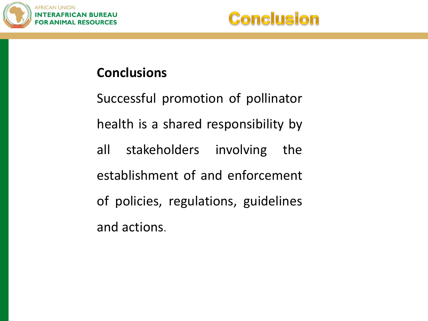

#### **Conclusions**

Successful promotion of pollinator health is a shared responsibility by all stakeholders involving the establishment of and enforcement of policies, regulations, guidelines and actions.